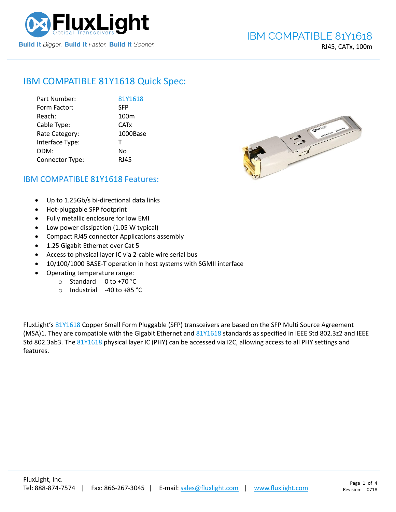

RJ45, CATx, 100m

# IBM COMPATIBLE [81Y1618](https://www.fluxlight.com/) Quick Spec:

| Part Number:    | 81Y1618          |
|-----------------|------------------|
| Form Factor:    | <b>SFP</b>       |
| Reach:          | 100 <sub>m</sub> |
| Cable Type:     | <b>CATx</b>      |
| Rate Category:  | 1000Base         |
| Interface Type: | т                |
| DDM:            | No               |
| Connector Type: | <b>RJ45</b>      |



## IBM COMPATIBLE [81Y1618](https://www.fluxlight.com/) Features:

- Up to 1.25Gb/s bi-directional data links
- Hot-pluggable SFP footprint
- Fully metallic enclosure for low EMI
- Low power dissipation (1.05 W typical)
- Compact RJ45 connector Applications assembly
- 1.25 Gigabit Ethernet over Cat 5
- Access to physical layer IC via 2-cable wire serial bus
- 10/100/1000 BASE-T operation in host systems with SGMII interface
- Operating temperature range:
	- o Standard 0 to +70 °C
	- o Industrial -40 to +85 °C

FluxLight's [81Y1618](https://www.fluxlight.com/) Copper Small Form Pluggable (SFP) transceivers are based on the SFP Multi Source Agreement (MSA)1. They are compatible with the Gigabit Ethernet and [81Y1618](https://www.fluxlight.com/) standards as specified in IEEE Std 802.3z2 and IEEE Std 802.3ab3. The [81Y1618](https://www.fluxlight.com/) physical layer IC (PHY) can be accessed via I2C, allowing access to all PHY settings and features.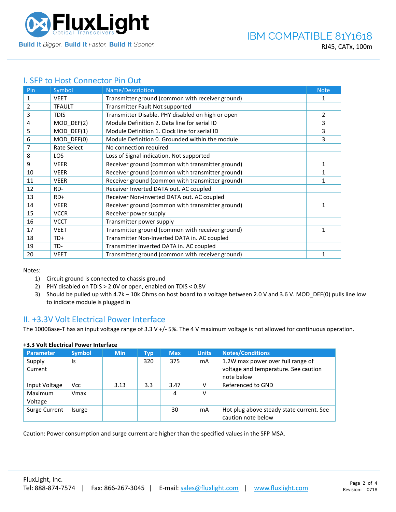

# I. SFP to Host Connector Pin Out

| Pin | Symbol        | Name/Description                                  | <b>Note</b>  |
|-----|---------------|---------------------------------------------------|--------------|
| 1   | <b>VEET</b>   | Transmitter ground (common with receiver ground)  | 1            |
| 2   | <b>TFAULT</b> | Transmitter Fault Not supported                   |              |
| 3   | <b>TDIS</b>   | Transmitter Disable. PHY disabled on high or open | 2            |
| 4   | MOD_DEF(2)    | Module Definition 2. Data line for serial ID      | 3            |
| 5   | MOD_DEF(1)    | Module Definition 1. Clock line for serial ID     | 3            |
| 6   | MOD_DEF(0)    | Module Definition 0. Grounded within the module   | 3            |
| 7   | Rate Select   | No connection required                            |              |
| 8   | <b>LOS</b>    | Loss of Signal indication. Not supported          |              |
| 9   | <b>VEER</b>   | Receiver ground (common with transmitter ground)  | 1            |
| 10  | <b>VEER</b>   | Receiver ground (common with transmitter ground)  | 1            |
| 11  | <b>VEER</b>   | Receiver ground (common with transmitter ground)  | 1            |
| 12  | RD-           | Receiver Inverted DATA out. AC coupled            |              |
| 13  | $RD+$         | Receiver Non-inverted DATA out. AC coupled        |              |
| 14  | <b>VEER</b>   | Receiver ground (common with transmitter ground)  | $\mathbf{1}$ |
| 15  | <b>VCCR</b>   | Receiver power supply                             |              |
| 16  | <b>VCCT</b>   | Transmitter power supply                          |              |
| 17  | <b>VEET</b>   | Transmitter ground (common with receiver ground)  | 1            |
| 18  | TD+           | Transmitter Non-Inverted DATA in. AC coupled      |              |
| 19  | TD-           | Transmitter Inverted DATA in. AC coupled          |              |
| 20  | <b>VEET</b>   | Transmitter ground (common with receiver ground)  |              |

Notes:

- 1) Circuit ground is connected to chassis ground
- 2) PHY disabled on TDIS > 2.0V or open, enabled on TDIS < 0.8V
- 3) Should be pulled up with 4.7k 10k Ohms on host board to a voltage between 2.0 V and 3.6 V. MOD\_DEF(0) pulls line low to indicate module is plugged in

### II. +3.3V Volt Electrical Power Interface

The 1000Base-T has an input voltage range of 3.3 V +/- 5%. The 4 V maximum voltage is not allowed for continuous operation.

| <b>Parameter</b>   | <b>Symbol</b> | <b>Min</b> | Typ | <b>Max</b> | <b>Units</b> | <b>Notes/Conditions</b>                                                                 |
|--------------------|---------------|------------|-----|------------|--------------|-----------------------------------------------------------------------------------------|
| Supply<br>Current  | Is            |            | 320 | 375        | mA           | 1.2W max power over full range of<br>voltage and temperature. See caution<br>note below |
| Input Voltage      | <b>Vcc</b>    | 3.13       | 3.3 | 3.47       |              | Referenced to GND                                                                       |
| Maximum<br>Voltage | Vmax          |            |     | 4          | v            |                                                                                         |
| Surge Current      | Isurge        |            |     | 30         | mA           | Hot plug above steady state current. See<br>caution note below                          |

### **+3.3 Volt Electrical Power Interface**

Caution: Power consumption and surge current are higher than the specified values in the SFP MSA.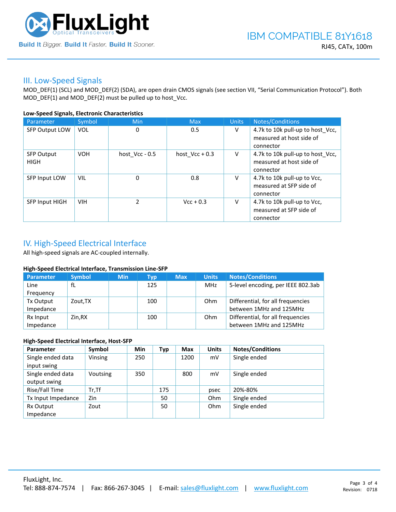

### III. Low-Speed Signals

MOD\_DEF(1) (SCL) and MOD\_DEF(2) (SDA), are open drain CMOS signals (see section VII, "Serial Communication Protocol"). Both MOD\_DEF(1) and MOD\_DEF(2) must be pulled up to host\_Vcc.

### **Low-Speed Signals, Electronic Characteristics**

| Parameter                        | Symbol     | Min              | <b>Max</b>       | <b>Units</b> | Notes/Conditions                                                          |
|----------------------------------|------------|------------------|------------------|--------------|---------------------------------------------------------------------------|
| <b>SFP Output LOW</b>            | <b>VOL</b> | 0                | 0.5              | V            | 4.7k to 10k pull-up to host_Vcc,<br>measured at host side of<br>connector |
| <b>SFP Output</b><br><b>HIGH</b> | <b>VOH</b> | host $Vcc - 0.5$ | host $Vec + 0.3$ | V            | 4.7k to 10k pull-up to host Vcc,<br>measured at host side of<br>connector |
| SFP Input LOW                    | <b>VIL</b> | 0                | 0.8              | V            | 4.7k to 10k pull-up to Vcc,<br>measured at SFP side of<br>connector       |
| <b>SFP Input HIGH</b>            | <b>VIH</b> | $\mathcal{P}$    | $Vcc + 0.3$      | V            | 4.7k to 10k pull-up to Vcc,<br>measured at SFP side of<br>connector       |

# IV. High-Speed Electrical Interface

All high-speed signals are AC-coupled internally.

### **High-Speed Electrical Interface, Transmission Line-SFP**

| Parameter | <b>Symbol</b> | <b>Min</b> | Typ | <b>Max</b> | <b>Units</b> | <b>Notes/Conditions</b>            |
|-----------|---------------|------------|-----|------------|--------------|------------------------------------|
| Line      | fL            |            | 125 |            | MHz          | 5-level encoding, per IEEE 802.3ab |
| Frequency |               |            |     |            |              |                                    |
| Tx Output | Zout, TX      |            | 100 |            | Ohm          | Differential, for all frequencies  |
| Impedance |               |            |     |            |              | between 1MHz and 125MHz            |
| Rx Input  | Zin.RX        |            | 100 |            | Ohm          | Differential, for all frequencies  |
| Impedance |               |            |     |            |              | between 1MHz and 125MHz            |

### **High-Speed Electrical Interface, Host-SFP**

| Parameter          | Symbol   | <b>Min</b> | Typ | <b>Max</b> | <b>Units</b> | <b>Notes/Conditions</b> |
|--------------------|----------|------------|-----|------------|--------------|-------------------------|
| Single ended data  | Vinsing  | 250        |     | 1200       | mV           | Single ended            |
| input swing        |          |            |     |            |              |                         |
| Single ended data  | Voutsing | 350        |     | 800        | mV           | Single ended            |
| output swing       |          |            |     |            |              |                         |
| Rise/Fall Time     | $Tr.$ Tf |            | 175 |            | psec         | 20%-80%                 |
| Tx Input Impedance | Zin      |            | 50  |            | Ohm          | Single ended            |
| Rx Output          | Zout     |            | 50  |            | Ohm          | Single ended            |
| Impedance          |          |            |     |            |              |                         |